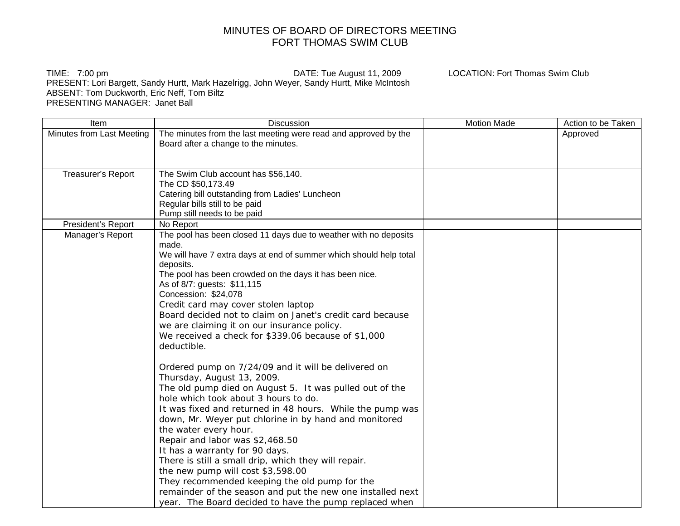## MINUTES OF BOARD OF DIRECTORS MEETING FORT THOMAS SWIM CLUB

TIME: 7:00 pm DATE: Tue August 11, 2009 LOCATION: Fort Thomas Swim Club PRESENT: Lori Bargett, Sandy Hurtt, Mark Hazelrigg, John Weyer, Sandy Hurtt, Mike McIntosh ABSENT: Tom Duckworth, Eric Neff, Tom Biltz PRESENTING MANAGER: Janet Ball

Item Discussion Motion Made | Action to be Taken Minutes from Last Meeting  $\mid$  The minutes from the last meeting were read and approved by the Board after a change to the minutes. Approved Treasurer's Report | The Swim Club account has \$56,140. The CD \$50,173.49 Catering bill outstanding from Ladies' Luncheon Regular bills still to be paid Pump still needs to be paid President's Report | No Report Manager's Report The pool has been closed 11 days due to weather with no deposits made. We will have 7 extra days at end of summer which should help total deposits. The pool has been crowded on the days it has been nice. As of 8/7: guests: \$11,115 Concession: \$24,078 Credit card may cover stolen laptop Board decided not to claim on Janet's credit card because we are claiming it on our insurance policy. We received a check for \$339.06 because of \$1,000 deductible. Ordered pump on 7/24/09 and it will be delivered on Thursday, August 13, 2009. The old pump died on August 5. It was pulled out of the hole which took about 3 hours to do. It was fixed and returned in 48 hours. While the pump was down, Mr. Weyer put chlorine in by hand and monitored the water every hour. Repair and labor was \$2,468.50 It has a warranty for 90 days. There is still a small drip, which they will repair. the new pump will cost \$3,598.00 They recommended keeping the old pump for the remainder of the season and put the new one installed next year. The Board decided to have the pump replaced when